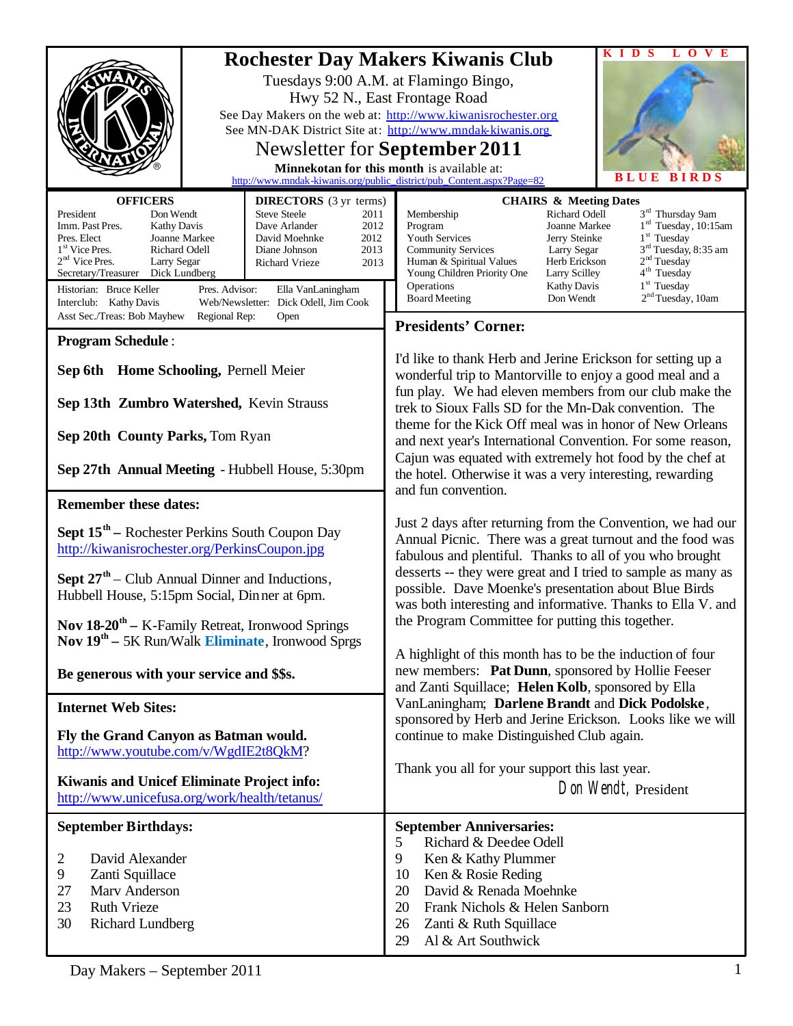|                                                                                                                                                                                                                                                                                                                                                                                                                                                                                                                                                                                                                                                                                                                                                                          | V<br>E<br>D<br>-S<br>Т.<br>$\Omega$                                                                                                                                                                                                                                                                                                                                                                                                                                                                                                                                                                                                                                                                                                                                                                                                                                                                                                                                                                                                                                                                                                                      |
|--------------------------------------------------------------------------------------------------------------------------------------------------------------------------------------------------------------------------------------------------------------------------------------------------------------------------------------------------------------------------------------------------------------------------------------------------------------------------------------------------------------------------------------------------------------------------------------------------------------------------------------------------------------------------------------------------------------------------------------------------------------------------|----------------------------------------------------------------------------------------------------------------------------------------------------------------------------------------------------------------------------------------------------------------------------------------------------------------------------------------------------------------------------------------------------------------------------------------------------------------------------------------------------------------------------------------------------------------------------------------------------------------------------------------------------------------------------------------------------------------------------------------------------------------------------------------------------------------------------------------------------------------------------------------------------------------------------------------------------------------------------------------------------------------------------------------------------------------------------------------------------------------------------------------------------------|
|                                                                                                                                                                                                                                                                                                                                                                                                                                                                                                                                                                                                                                                                                                                                                                          | <b>Rochester Day Makers Kiwanis Club</b><br>Tuesdays 9:00 A.M. at Flamingo Bingo,<br>Hwy 52 N., East Frontage Road<br>See Day Makers on the web at: http://www.kiwanisrochester.org<br>See MN-DAK District Site at: http://www.mndak-kiwanis.org                                                                                                                                                                                                                                                                                                                                                                                                                                                                                                                                                                                                                                                                                                                                                                                                                                                                                                         |
|                                                                                                                                                                                                                                                                                                                                                                                                                                                                                                                                                                                                                                                                                                                                                                          | Newsletter for <b>September 2011</b><br>Minnekotan for this month is available at:                                                                                                                                                                                                                                                                                                                                                                                                                                                                                                                                                                                                                                                                                                                                                                                                                                                                                                                                                                                                                                                                       |
| <b>OFFICERS</b><br><b>DIRECTORS</b> (3 yr terms)<br>President<br><b>Steve Steele</b><br>Don Wendt<br>2011<br>Imm. Past Pres.<br>2012<br><b>Kathy Davis</b><br>Dave Arlander<br>Pres. Elect<br>Joanne Markee<br>David Moehnke<br>2012<br>1 <sup>st</sup> Vice Pres.<br>Richard Odell<br>2013<br>Diane Johnson<br>$2nd$ Vice Pres.<br>Larry Segar<br><b>Richard Vrieze</b><br>2013<br>Secretary/Treasurer<br>Dick Lundberg<br>Historian: Bruce Keller<br>Pres. Advisor:<br>Ella VanLaningham<br>Interclub: Kathy Davis<br>Web/Newsletter: Dick Odell, Jim Cook<br>Asst Sec./Treas: Bob Mayhew<br>Regional Rep:<br>Open<br><b>Program Schedule:</b><br>Sep 6th Home Schooling, Pernell Meier<br>Sep 13th Zumbro Watershed, Kevin Strauss<br>Sep 20th County Parks, Tom Ryan | <b>BLUE BIRDS</b><br>http://www.mndak-kiwanis.org/public_district/pub_Content.aspx?Page=82<br><b>CHAIRS &amp; Meeting Dates</b><br>3 <sup>rd</sup> Thursday 9am<br>Richard Odell<br>Membership<br>$1rd$ Tuesday, 10:15am<br>Joanne Markee<br>Program<br>$1st$ Tuesday<br><b>Youth Services</b><br>Jerry Steinke<br>3 <sup>rd</sup> Tuesday, 8:35 am<br><b>Community Services</b><br>Larry Segar<br>2 <sup>nd</sup> Tuesday<br>Human & Spiritual Values<br>Herb Erickson<br>4 <sup>th</sup> Tuesday<br>Young Children Priority One<br>Larry Scilley<br>1 <sup>st</sup> Tuesday<br>Operations<br><b>Kathy Davis</b><br>2 <sup>nd</sup> Tuesday, 10am<br><b>Board Meeting</b><br>Don Wendt<br><b>Presidents' Corner:</b><br>I'd like to thank Herb and Jerine Erickson for setting up a<br>wonderful trip to Mantorville to enjoy a good meal and a<br>fun play. We had eleven members from our club make the<br>trek to Sioux Falls SD for the Mn-Dak convention. The<br>theme for the Kick Off meal was in honor of New Orleans<br>and next year's International Convention. For some reason,<br>Cajun was equated with extremely hot food by the chef at |
| Sep 27th Annual Meeting - Hubbell House, 5:30pm                                                                                                                                                                                                                                                                                                                                                                                                                                                                                                                                                                                                                                                                                                                          | the hotel. Otherwise it was a very interesting, rewarding<br>and fun convention.                                                                                                                                                                                                                                                                                                                                                                                                                                                                                                                                                                                                                                                                                                                                                                                                                                                                                                                                                                                                                                                                         |
| <b>Remember these dates:</b>                                                                                                                                                                                                                                                                                                                                                                                                                                                                                                                                                                                                                                                                                                                                             |                                                                                                                                                                                                                                                                                                                                                                                                                                                                                                                                                                                                                                                                                                                                                                                                                                                                                                                                                                                                                                                                                                                                                          |
| <b>Sept 15<sup>th</sup></b> – Rochester Perkins South Coupon Day<br>http://kiwanisrochester.org/PerkinsCoupon.jpg                                                                                                                                                                                                                                                                                                                                                                                                                                                                                                                                                                                                                                                        | Just 2 days after returning from the Convention, we had our<br>Annual Picnic. There was a great turnout and the food was<br>fabulous and plentiful. Thanks to all of you who brought                                                                                                                                                                                                                                                                                                                                                                                                                                                                                                                                                                                                                                                                                                                                                                                                                                                                                                                                                                     |
| <b>Sept 27<sup>th</sup></b> – Club Annual Dinner and Inductions,<br>Hubbell House, 5:15pm Social, Dinner at 6pm.                                                                                                                                                                                                                                                                                                                                                                                                                                                                                                                                                                                                                                                         | desserts -- they were great and I tried to sample as many as<br>possible. Dave Moenke's presentation about Blue Birds<br>was both interesting and informative. Thanks to Ella V. and                                                                                                                                                                                                                                                                                                                                                                                                                                                                                                                                                                                                                                                                                                                                                                                                                                                                                                                                                                     |
| Nov $18-20$ <sup>th</sup> - K-Family Retreat, Ironwood Springs<br>Nov 19 <sup>th</sup> - 5K Run/Walk Eliminate, Ironwood Sprgs                                                                                                                                                                                                                                                                                                                                                                                                                                                                                                                                                                                                                                           | the Program Committee for putting this together.<br>A highlight of this month has to be the induction of four                                                                                                                                                                                                                                                                                                                                                                                                                                                                                                                                                                                                                                                                                                                                                                                                                                                                                                                                                                                                                                            |
| Be generous with your service and \$\$s.                                                                                                                                                                                                                                                                                                                                                                                                                                                                                                                                                                                                                                                                                                                                 | new members: Pat Dunn, sponsored by Hollie Feeser<br>and Zanti Squillace; Helen Kolb, sponsored by Ella                                                                                                                                                                                                                                                                                                                                                                                                                                                                                                                                                                                                                                                                                                                                                                                                                                                                                                                                                                                                                                                  |
| <b>Internet Web Sites:</b>                                                                                                                                                                                                                                                                                                                                                                                                                                                                                                                                                                                                                                                                                                                                               | VanLaningham; Darlene Brandt and Dick Podolske,<br>sponsored by Herb and Jerine Erickson. Looks like we will                                                                                                                                                                                                                                                                                                                                                                                                                                                                                                                                                                                                                                                                                                                                                                                                                                                                                                                                                                                                                                             |
| Fly the Grand Canyon as Batman would.<br>http://www.youtube.com/v/WgdIE2t8QkM?                                                                                                                                                                                                                                                                                                                                                                                                                                                                                                                                                                                                                                                                                           | continue to make Distinguished Club again.                                                                                                                                                                                                                                                                                                                                                                                                                                                                                                                                                                                                                                                                                                                                                                                                                                                                                                                                                                                                                                                                                                               |
| Kiwanis and Unicef Eliminate Project info:<br>http://www.unicefusa.org/work/health/tetanus/                                                                                                                                                                                                                                                                                                                                                                                                                                                                                                                                                                                                                                                                              | Thank you all for your support this last year.<br>Don Wendt, President                                                                                                                                                                                                                                                                                                                                                                                                                                                                                                                                                                                                                                                                                                                                                                                                                                                                                                                                                                                                                                                                                   |
| <b>September Birthdays:</b><br>David Alexander<br>2<br>9<br>Zanti Squillace<br>Marv Anderson<br>27<br>23<br><b>Ruth Vrieze</b><br>30<br><b>Richard Lundberg</b>                                                                                                                                                                                                                                                                                                                                                                                                                                                                                                                                                                                                          | <b>September Anniversaries:</b><br>Richard & Deedee Odell<br>5<br>9<br>Ken & Kathy Plummer<br>10<br>Ken & Rosie Reding<br>David & Renada Moehnke<br>20<br>20<br>Frank Nichols & Helen Sanborn<br>26<br>Zanti & Ruth Squillace<br>29<br>Al & Art Southwick                                                                                                                                                                                                                                                                                                                                                                                                                                                                                                                                                                                                                                                                                                                                                                                                                                                                                                |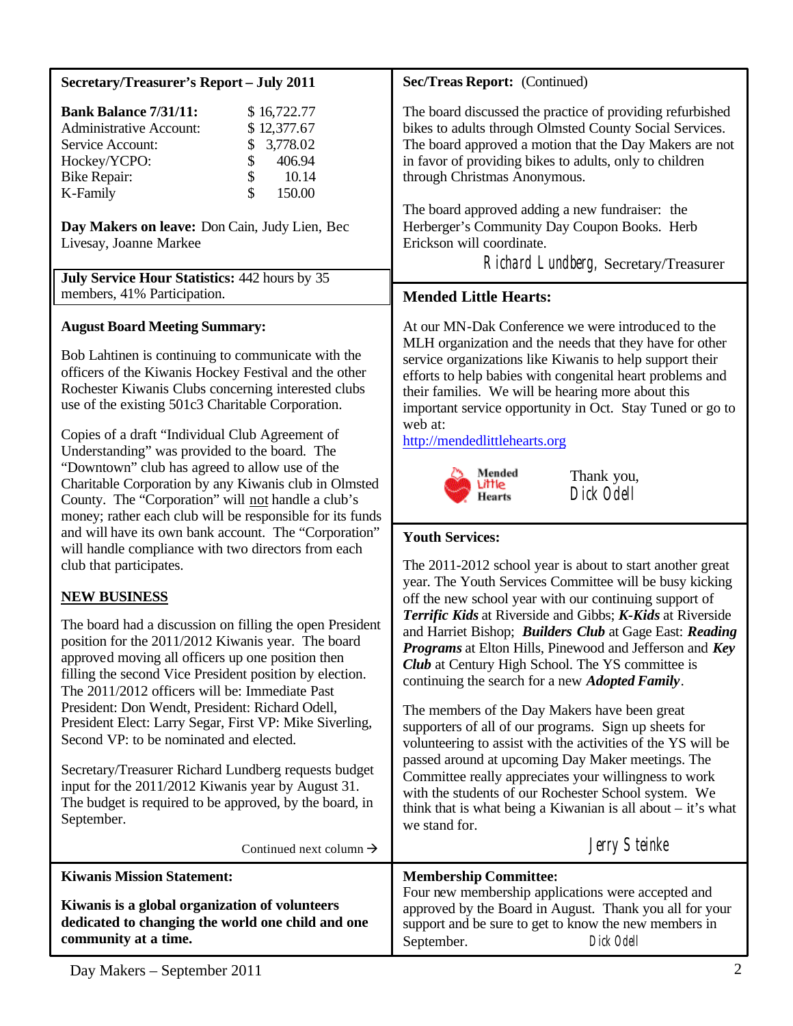| Secretary/Treasurer's Report - July 2011                                                                                                                                                                                                                                                                                                                                                                                                                                                                                                                                                                                                  | Sec/Treas Report: (Continued)                                                                                                                                                                                                                                                                                                                                                                                                                                                                                                                                                                                                                                                                                                                                                                                                                |
|-------------------------------------------------------------------------------------------------------------------------------------------------------------------------------------------------------------------------------------------------------------------------------------------------------------------------------------------------------------------------------------------------------------------------------------------------------------------------------------------------------------------------------------------------------------------------------------------------------------------------------------------|----------------------------------------------------------------------------------------------------------------------------------------------------------------------------------------------------------------------------------------------------------------------------------------------------------------------------------------------------------------------------------------------------------------------------------------------------------------------------------------------------------------------------------------------------------------------------------------------------------------------------------------------------------------------------------------------------------------------------------------------------------------------------------------------------------------------------------------------|
| <b>Bank Balance 7/31/11:</b><br>\$16,722.77<br><b>Administrative Account:</b><br>\$12,377.67<br>3,778.02<br>Service Account:<br>\$<br>Hockey/YCPO:<br>406.94<br>\$<br>\$<br>10.14<br><b>Bike Repair:</b><br>\$<br>K-Family<br>150.00<br>Day Makers on leave: Don Cain, Judy Lien, Bec<br>Livesay, Joanne Markee<br>July Service Hour Statistics: 442 hours by 35                                                                                                                                                                                                                                                                          | The board discussed the practice of providing refurbished<br>bikes to adults through Olmsted County Social Services.<br>The board approved a motion that the Day Makers are not<br>in favor of providing bikes to adults, only to children<br>through Christmas Anonymous.<br>The board approved adding a new fundraiser: the<br>Herberger's Community Day Coupon Books. Herb<br>Erickson will coordinate.<br>Richard Lundberg, Secretary/Treasurer                                                                                                                                                                                                                                                                                                                                                                                          |
| members, 41% Participation.                                                                                                                                                                                                                                                                                                                                                                                                                                                                                                                                                                                                               | <b>Mended Little Hearts:</b>                                                                                                                                                                                                                                                                                                                                                                                                                                                                                                                                                                                                                                                                                                                                                                                                                 |
| <b>August Board Meeting Summary:</b><br>Bob Lahtinen is continuing to communicate with the<br>officers of the Kiwanis Hockey Festival and the other<br>Rochester Kiwanis Clubs concerning interested clubs<br>use of the existing 501c3 Charitable Corporation.<br>Copies of a draft "Individual Club Agreement of<br>Understanding" was provided to the board. The<br>"Downtown" club has agreed to allow use of the<br>Charitable Corporation by any Kiwanis club in Olmsted<br>County. The "Corporation" will not handle a club's<br>money; rather each club will be responsible for its funds                                         | At our MN-Dak Conference we were introduced to the<br>MLH organization and the needs that they have for other<br>service organizations like Kiwanis to help support their<br>efforts to help babies with congenital heart problems and<br>their families. We will be hearing more about this<br>important service opportunity in Oct. Stay Tuned or go to<br>web at:<br>http://mendedlittlehearts.org<br>Mended<br>Thank you,<br>Little<br>Dick Odell<br>Hearts                                                                                                                                                                                                                                                                                                                                                                              |
| and will have its own bank account. The "Corporation"<br>will handle compliance with two directors from each<br>club that participates.                                                                                                                                                                                                                                                                                                                                                                                                                                                                                                   | <b>Youth Services:</b><br>The 2011-2012 school year is about to start another great                                                                                                                                                                                                                                                                                                                                                                                                                                                                                                                                                                                                                                                                                                                                                          |
| <b>NEW BUSINESS</b><br>The board had a discussion on filling the open President<br>position for the 2011/2012 Kiwanis year. The board<br>approved moving all officers up one position then<br>filling the second Vice President position by election.<br>The 2011/2012 officers will be: Immediate Past<br>President: Don Wendt, President: Richard Odell,<br>President Elect: Larry Segar, First VP: Mike Siverling,<br>Second VP: to be nominated and elected.<br>Secretary/Treasurer Richard Lundberg requests budget<br>input for the 2011/2012 Kiwanis year by August 31.<br>The budget is required to be approved, by the board, in | year. The Youth Services Committee will be busy kicking<br>off the new school year with our continuing support of<br>Terrific Kids at Riverside and Gibbs; K-Kids at Riverside<br>and Harriet Bishop; Builders Club at Gage East: Reading<br>Programs at Elton Hills, Pinewood and Jefferson and Key<br><b>Club</b> at Century High School. The YS committee is<br>continuing the search for a new <i>Adopted Family</i> .<br>The members of the Day Makers have been great<br>supporters of all of our programs. Sign up sheets for<br>volunteering to assist with the activities of the YS will be<br>passed around at upcoming Day Maker meetings. The<br>Committee really appreciates your willingness to work<br>with the students of our Rochester School system. We<br>think that is what being a Kiwanian is all about $-$ it's what |
| September.<br>Continued next column $\rightarrow$                                                                                                                                                                                                                                                                                                                                                                                                                                                                                                                                                                                         | we stand for.<br>Jerry Steinke                                                                                                                                                                                                                                                                                                                                                                                                                                                                                                                                                                                                                                                                                                                                                                                                               |
|                                                                                                                                                                                                                                                                                                                                                                                                                                                                                                                                                                                                                                           |                                                                                                                                                                                                                                                                                                                                                                                                                                                                                                                                                                                                                                                                                                                                                                                                                                              |

| <b>Kiwanis Mission Statement:</b>                                                                                           | <b>Membership Committee:</b>                                                                                                                                                                       |
|-----------------------------------------------------------------------------------------------------------------------------|----------------------------------------------------------------------------------------------------------------------------------------------------------------------------------------------------|
| Kiwanis is a global organization of volunteers<br>dedicated to changing the world one child and one<br>community at a time. | Four new membership applications were accepted and<br>approved by the Board in August. Thank you all for your<br>support and be sure to get to know the new members in<br>Dick Odell<br>September. |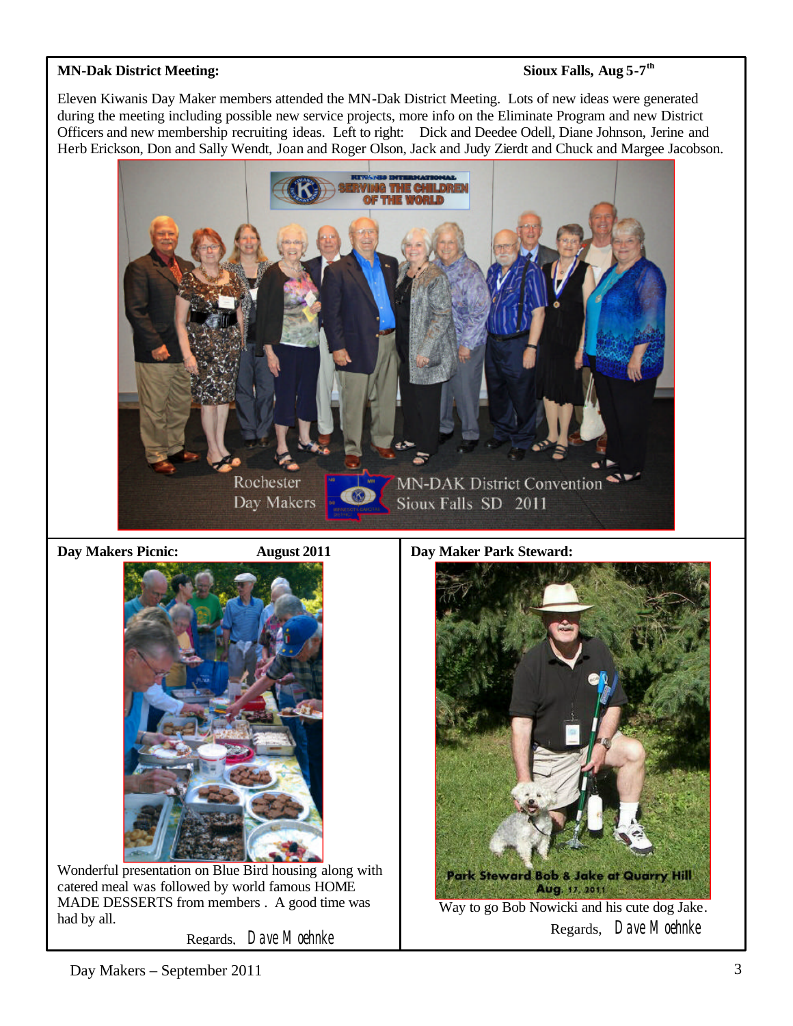### **MN-Dak District Meeting:**

# **Sioux Falls, Aug 5-7<sup>th</sup>**

Eleven Kiwanis Day Maker members attended the MN-Dak District Meeting. Lots of new ideas were generated during the meeting including possible new service projects, more info on the Eliminate Program and new District Officers and new membership recruiting ideas. Left to right: Dick and Deedee Odell, Diane Johnson, Jerine and Herb Erickson, Don and Sally Wendt, Joan and Roger Olson, Jack and Judy Zierdt and Chuck and Margee Jacobson.



**Day Makers Picnic: August 2011**





Wonderful presentation on Blue Bird housing along with catered meal was followed by world famous HOME MADE DESSERTS from members . A good time was had by all.

Regards, Dave Moehnke



Regards, Dave Moehnke